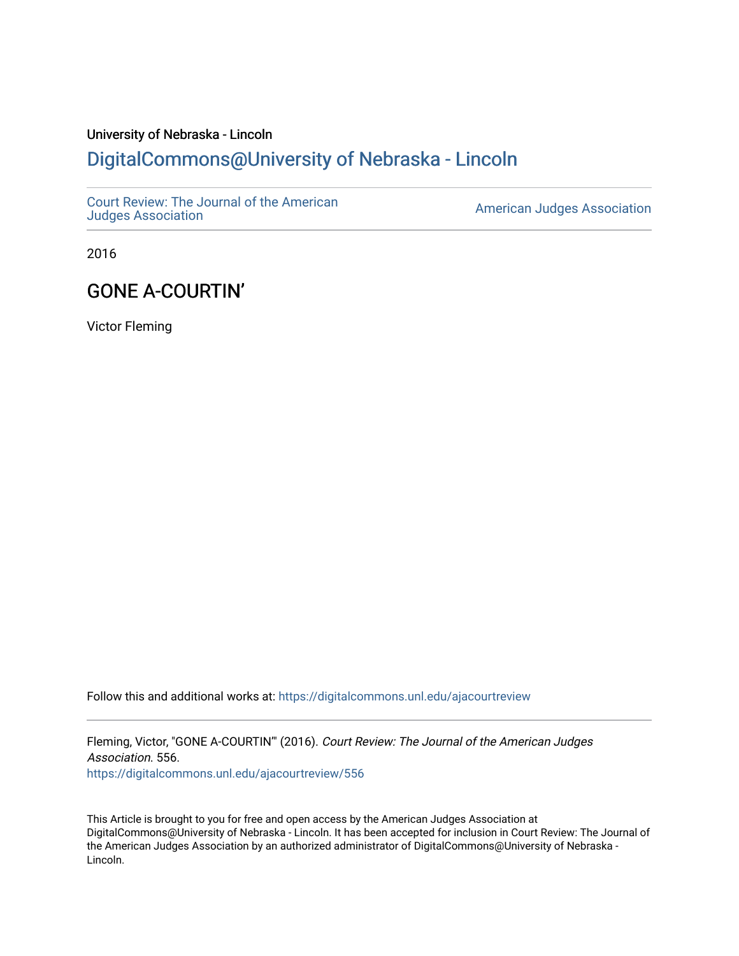# University of Nebraska - Lincoln [DigitalCommons@University of Nebraska - Lincoln](https://digitalcommons.unl.edu/)

[Court Review: The Journal of the American](https://digitalcommons.unl.edu/ajacourtreview)

[Judges Association](https://digitalcommons.unl.edu/ajacourtreview) [American Judges Association](https://digitalcommons.unl.edu/amjudgesassn) 

2016

## GONE A-COURTIN'

Victor Fleming

Follow this and additional works at: [https://digitalcommons.unl.edu/ajacourtreview](https://digitalcommons.unl.edu/ajacourtreview?utm_source=digitalcommons.unl.edu%2Fajacourtreview%2F556&utm_medium=PDF&utm_campaign=PDFCoverPages) 

Fleming, Victor, "GONE A-COURTIN'" (2016). Court Review: The Journal of the American Judges Association. 556. [https://digitalcommons.unl.edu/ajacourtreview/556](https://digitalcommons.unl.edu/ajacourtreview/556?utm_source=digitalcommons.unl.edu%2Fajacourtreview%2F556&utm_medium=PDF&utm_campaign=PDFCoverPages) 

This Article is brought to you for free and open access by the American Judges Association at DigitalCommons@University of Nebraska - Lincoln. It has been accepted for inclusion in Court Review: The Journal of the American Judges Association by an authorized administrator of DigitalCommons@University of Nebraska - Lincoln.